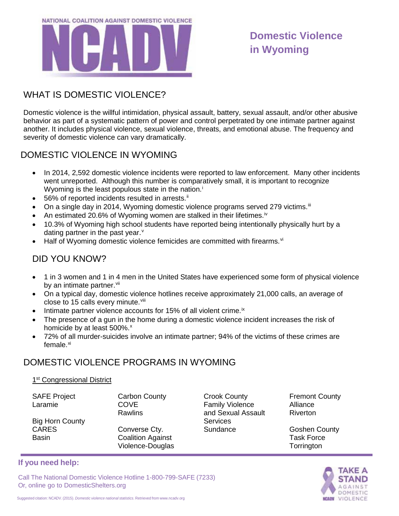

# **Domestic Violence in Wyoming**

# WHAT IS DOMESTIC VIOLENCE?

Domestic violence is the willful intimidation, physical assault, battery, sexual assault, and/or other abusive behavior as part of a systematic pattern of power and control perpetrated by one intimate partner against another. It includes physical violence, sexual violence, threats, and emotional abuse. The frequency and severity of domestic violence can vary dramatically.

## DOMESTIC VIOLENCE IN WYOMING

- In 2014, 2,592 domestic violence incidents were reported to law enforcement. Many other incidents went unreported. Although this number is comparatively small, it is important to recognize Wyom[i](#page-1-0)ng is the least populous state in the nation.<sup>i</sup>
- 56% of reported incidents resulted in arrests.<sup>[ii](#page-1-1)</sup>
- On a single day in 2014, Wyoming domestic violence programs served 279 victims.<sup>[iii](#page-1-2)</sup>
- An estimated 20.6% of Wyoming women are stalked in their lifetimes.<sup>[iv](#page-1-3)</sup>
- 10.3% of Wyoming high school students have reported being intentionally physically hurt by a dating partner in the past year. $<sup>v</sup>$  $<sup>v</sup>$  $<sup>v</sup>$ </sup>
- Half of Wyoming domestic [vi](#page-1-5)olence femicides are committed with firearms.<sup>vi</sup>

### DID YOU KNOW?

- 1 in 3 women and 1 in 4 men in the United States have experienced some form of physical violence by an intimate partner. Vii
- On a typical day, domestic violence hotlines receive approximately 21,000 calls, an average of close to 15 calls every minute. Vili
- Intimate partner violence accounts for 15% of all violent crime. $i^x$
- The presence of a gun in the home during a domestic violence incident increases the risk of homicide by at least 500%.<sup>[x](#page-1-9)</sup>
- 72% of all murder-suicides involve an intimate partner; 94% of the victims of these crimes are female.<sup>[xi](#page-1-10)</sup>

#### DOMESTIC VIOLENCE PROGRAMS IN WYOMING

#### 1<sup>st</sup> Congressional District

Or, online go to DomesticShelters.org

SAFE Project Laramie

Big Horn County CARES **Basin** 

**If you need help:**

Carbon County COVE Rawlins

Converse Cty. Coalition Against Violence-Douglas Crook County Family Violence and Sexual Assault **Services Sundance** 

Fremont County Alliance **Riverton** 

Goshen County Task Force **Torrington** 

# **AKE A OMESTIC VIOLENCE**

Suggested citation: NCADV. (2015). *Domestic violence national statistics*. Retrieved from [www.ncadv.org](http://www.ncadv.org/)

Call The National Domestic Violence Hotline 1-800-799-SAFE (7233)